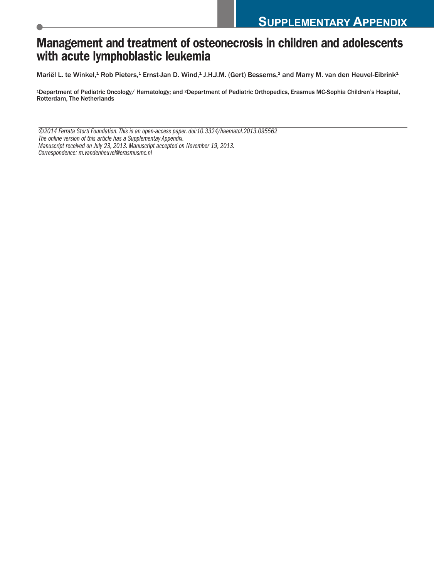# **Management and treatment of osteonecrosis in children and adolescents with acute lymphoblastic leukemia**

Mariël L. te Winkel,<sup>1</sup> Rob Pieters,<sup>1</sup> Ernst-Jan D. Wind,<sup>1</sup> J.H.J.M. (Gert) Bessems,<sup>2</sup> and Marry M. van den Heuvel-Eibrink<sup>1</sup>

1Department of Pediatric Oncology/ Hematology; and 2Department of Pediatric Orthopedics, Erasmus MC-Sophia Children's Hospital, Rotterdam, The Netherlands

*©2014 Ferrata Storti Foundation.This is an open-access paper.doi:10.3324/haematol.2013.095562 The online version of this article has a Supplementay Appendix. Manuscript received on July 23, 2013. Manuscript accepted on November 19, 2013. Correspondence: m.vandenheuvel@erasmusmc.nl*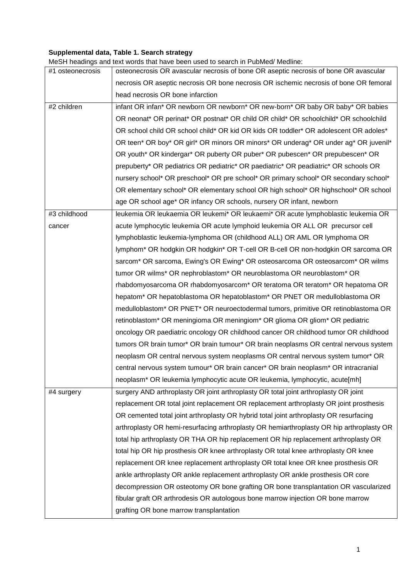## **Supplemental data, Table 1. Search strategy**

MeSH headings and text words that have been used to search in PubMed/ Medline:

| #1 osteonecrosis | osteonecrosis OR avascular necrosis of bone OR aseptic necrosis of bone OR avascular     |
|------------------|------------------------------------------------------------------------------------------|
|                  | necrosis OR aseptic necrosis OR bone necrosis OR ischemic necrosis of bone OR femoral    |
|                  | head necrosis OR bone infarction                                                         |
| #2 children      | infant OR infan* OR newborn OR newborn* OR new-born* OR baby OR baby* OR babies          |
|                  | OR neonat* OR perinat* OR postnat* OR child OR child* OR schoolchild* OR schoolchild     |
|                  | OR school child OR school child* OR kid OR kids OR toddler* OR adolescent OR adoles*     |
|                  | OR teen* OR boy* OR girl* OR minors OR minors* OR underag* OR under ag* OR juvenil*      |
|                  | OR youth* OR kindergar* OR puberty OR puber* OR pubescen* OR prepubescen* OR             |
|                  | prepuberty* OR pediatrics OR pediatric* OR paediatric* OR peadiatric* OR schools OR      |
|                  | nursery school* OR preschool* OR pre school* OR primary school* OR secondary school*     |
|                  | OR elementary school* OR elementary school OR high school* OR highschool* OR school      |
|                  | age OR school age* OR infancy OR schools, nursery OR infant, newborn                     |
| #3 childhood     | leukemia OR leukaemia OR leukemi* OR leukaemi* OR acute lymphoblastic leukemia OR        |
| cancer           | acute lymphocytic leukemia OR acute lymphoid leukemia OR ALL OR precursor cell           |
|                  | lymphoblastic leukemia-lymphoma OR (childhood ALL) OR AML OR lymphoma OR                 |
|                  | lymphom* OR hodgkin OR hodgkin* OR T-cell OR B-cell OR non-hodgkin OR sarcoma OR         |
|                  | sarcom* OR sarcoma, Ewing's OR Ewing* OR osteosarcoma OR osteosarcom* OR wilms           |
|                  | tumor OR wilms* OR nephroblastom* OR neuroblastoma OR neuroblastom* OR                   |
|                  | rhabdomyosarcoma OR rhabdomyosarcom* OR teratoma OR teratom* OR hepatoma OR              |
|                  | hepatom* OR hepatoblastoma OR hepatoblastom* OR PNET OR medulloblastoma OR               |
|                  | medulloblastom* OR PNET* OR neuroectodermal tumors, primitive OR retinoblastoma OR       |
|                  | retinoblastom* OR meningioma OR meningiom* OR glioma OR gliom* OR pediatric              |
|                  | oncology OR paediatric oncology OR childhood cancer OR childhood tumor OR childhood      |
|                  | tumors OR brain tumor* OR brain tumour* OR brain neoplasms OR central nervous system     |
|                  | neoplasm OR central nervous system neoplasms OR central nervous system tumor* OR         |
|                  | central nervous system tumour* OR brain cancer* OR brain neoplasm* OR intracranial       |
|                  | neoplasm* OR leukemia lymphocytic acute OR leukemia, lymphocytic, acute[mh]              |
| #4 surgery       | surgery AND arthroplasty OR joint arthroplasty OR total joint arthroplasty OR joint      |
|                  | replacement OR total joint replacement OR replacement arthroplasty OR joint prosthesis   |
|                  | OR cemented total joint arthroplasty OR hybrid total joint arthroplasty OR resurfacing   |
|                  | arthroplasty OR hemi-resurfacing arthroplasty OR hemiarthroplasty OR hip arthroplasty OR |
|                  | total hip arthroplasty OR THA OR hip replacement OR hip replacement arthroplasty OR      |
|                  | total hip OR hip prosthesis OR knee arthroplasty OR total knee arthroplasty OR knee      |
|                  | replacement OR knee replacement arthroplasty OR total knee OR knee prosthesis OR         |
|                  | ankle arthroplasty OR ankle replacement arthroplasty OR ankle prosthesis OR core         |
|                  | decompression OR osteotomy OR bone grafting OR bone transplantation OR vascularized      |
|                  | fibular graft OR arthrodesis OR autologous bone marrow injection OR bone marrow          |
|                  | grafting OR bone marrow transplantation                                                  |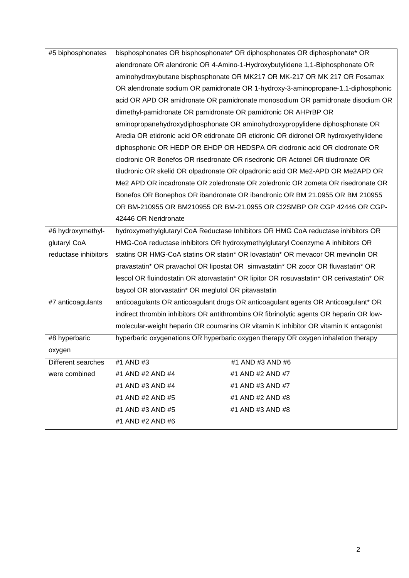| #5 biphosphonates    | bisphosphonates OR bisphosphonate* OR diphosphonates OR diphosphonate* OR                |  |  |  |  |
|----------------------|------------------------------------------------------------------------------------------|--|--|--|--|
|                      | alendronate OR alendronic OR 4-Amino-1-Hydroxybutylidene 1,1-Biphosphonate OR            |  |  |  |  |
|                      | aminohydroxybutane bisphosphonate OR MK217 OR MK-217 OR MK 217 OR Fosamax                |  |  |  |  |
|                      | OR alendronate sodium OR pamidronate OR 1-hydroxy-3-aminopropane-1,1-diphosphonic        |  |  |  |  |
|                      | acid OR APD OR amidronate OR pamidronate monosodium OR pamidronate disodium OR           |  |  |  |  |
|                      | dimethyl-pamidronate OR pamidronate OR pamidronic OR AHPrBP OR                           |  |  |  |  |
|                      | aminopropanehydroxydiphosphonate OR aminohydroxypropylidene diphosphonate OR             |  |  |  |  |
|                      | Aredia OR etidronic acid OR etidronate OR etidronic OR didronel OR hydroxyethylidene     |  |  |  |  |
|                      | diphosphonic OR HEDP OR EHDP OR HEDSPA OR clodronic acid OR clodronate OR                |  |  |  |  |
|                      | clodronic OR Bonefos OR risedronate OR risedronic OR Actonel OR tiludronate OR           |  |  |  |  |
|                      | tiludronic OR skelid OR olpadronate OR olpadronic acid OR Me2-APD OR Me2APD OR           |  |  |  |  |
|                      | Me2 APD OR incadronate OR zoledronate OR zoledronic OR zometa OR risedronate OR          |  |  |  |  |
|                      | Bonefos OR Bonephos OR ibandronate OR ibandronic OR BM 21.0955 OR BM 210955              |  |  |  |  |
|                      | OR BM-210955 OR BM210955 OR BM-21.0955 OR CI2SMBP OR CGP 42446 OR CGP-                   |  |  |  |  |
|                      | 42446 OR Neridronate                                                                     |  |  |  |  |
| #6 hydroxymethyl-    | hydroxymethylglutaryl CoA Reductase Inhibitors OR HMG CoA reductase inhibitors OR        |  |  |  |  |
| glutaryl CoA         | HMG-CoA reductase inhibitors OR hydroxymethylglutaryl Coenzyme A inhibitors OR           |  |  |  |  |
| reductase inhibitors | statins OR HMG-CoA statins OR statin* OR lovastatin* OR mevacor OR mevinolin OR          |  |  |  |  |
|                      | pravastatin* OR pravachol OR lipostat OR simvastatin* OR zocor OR fluvastatin* OR        |  |  |  |  |
|                      | lescol OR fluindostatin OR atorvastatin* OR lipitor OR rosuvastatin* OR cerivastatin* OR |  |  |  |  |
|                      | baycol OR atorvastatin* OR meglutol OR pitavastatin                                      |  |  |  |  |
| #7 anticoagulants    | anticoagulants OR anticoagulant drugs OR anticoagulant agents OR Anticoagulant* OR       |  |  |  |  |
|                      | indirect thrombin inhibitors OR antithrombins OR fibrinolytic agents OR heparin OR low-  |  |  |  |  |
|                      | molecular-weight heparin OR coumarins OR vitamin K inhibitor OR vitamin K antagonist     |  |  |  |  |
| #8 hyperbaric        | hyperbaric oxygenations OR hyperbaric oxygen therapy OR oxygen inhalation therapy        |  |  |  |  |
| oxygen               |                                                                                          |  |  |  |  |
| Different searches   | #1 AND #3<br>#1 AND #3 AND #6                                                            |  |  |  |  |
| were combined        | #1 AND #2 AND #4<br>#1 AND #2 AND #7                                                     |  |  |  |  |
|                      | #1 AND #3 AND #4<br>#1 AND #3 AND #7                                                     |  |  |  |  |
|                      | #1 AND #2 AND #5<br>#1 AND #2 AND #8                                                     |  |  |  |  |
|                      | #1 AND #3 AND #5<br>#1 AND #3 AND #8                                                     |  |  |  |  |
|                      | #1 AND #2 AND #6                                                                         |  |  |  |  |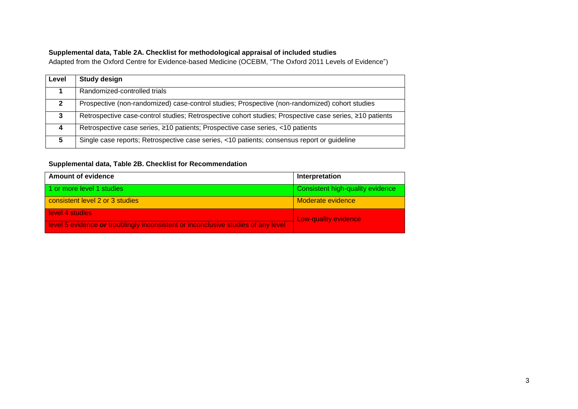#### **Supplemental data, Table 2A. Checklist for methodological appraisal of included studies**

Adapted from the Oxford Centre for Evidence-based Medicine (OCEBM, "The Oxford 2011 Levels of Evidence")

| Level        | <b>Study design</b>                                                                                     |
|--------------|---------------------------------------------------------------------------------------------------------|
|              | Randomized-controlled trials                                                                            |
| $\mathbf{P}$ | Prospective (non-randomized) case-control studies; Prospective (non-randomized) cohort studies          |
| 3            | Retrospective case-control studies; Retrospective cohort studies; Prospective case series, ≥10 patients |
| 4            | Retrospective case series, ≥10 patients; Prospective case series, <10 patients                          |
| 5            | Single case reports; Retrospective case series, <10 patients; consensus report or guideline             |

### **Supplemental data, Table 2B. Checklist for Recommendation**

| <b>Amount of evidence</b>                                                         | Interpretation                   |  |
|-----------------------------------------------------------------------------------|----------------------------------|--|
| 1 or more level 1 studies                                                         | Consistent high-quality evidence |  |
| consistent level 2 or 3 studies                                                   | Moderate evidence                |  |
| <b>Hevel 4 studies</b>                                                            | Low-quality evidence             |  |
| level 5 evidence or troublingly inconsistent or inconclusive studies of any level |                                  |  |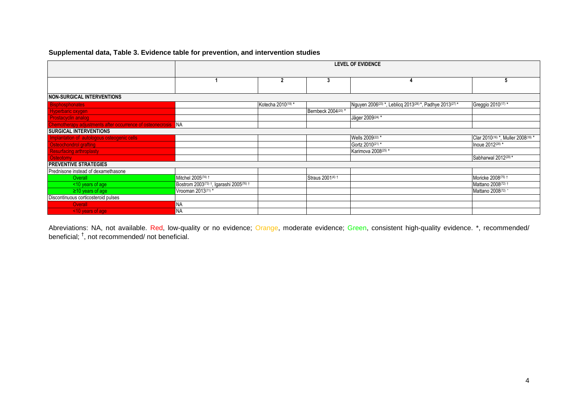#### **Supplemental data, Table 3. Evidence table for prevention, and intervention studies**

|                                                            | <b>LEVEL OF EVIDENCE</b>                                        |                                |                     |                                                          |                                    |
|------------------------------------------------------------|-----------------------------------------------------------------|--------------------------------|---------------------|----------------------------------------------------------|------------------------------------|
|                                                            |                                                                 |                                |                     |                                                          |                                    |
|                                                            |                                                                 |                                |                     |                                                          |                                    |
|                                                            |                                                                 | 2                              | 3                   | 4                                                        | 5                                  |
|                                                            |                                                                 |                                |                     |                                                          |                                    |
| <b>NON-SURGICAL INTERVENTIONS</b>                          |                                                                 |                                |                     |                                                          |                                    |
| <b>Bisphosphonates</b>                                     |                                                                 | Kotecha 2010 <sup>(19)</sup> * |                     | Nguyen 2006(23) *, Leblicq 2013(26) *, Padhye 2013(27) * | Greggio 2010(17) *                 |
| Hyperbaric oxygen                                          |                                                                 |                                | Bernbeck 2004(20) * |                                                          |                                    |
| <b>Prostacyclin analog</b>                                 |                                                                 |                                |                     | Jäger 2009 <sup>(24)</sup> *                             |                                    |
| Chemotherapy adjustments after occurrence of osteonecrosis | <b>NA</b>                                                       |                                |                     |                                                          |                                    |
| <b>SURGICAL INTERVENTIONS</b>                              |                                                                 |                                |                     |                                                          |                                    |
| Implantation of autologous osteogenic cells                |                                                                 |                                |                     | Wells 2009(22) *                                         | Clar 2010(16) *, Muller 2008(18) * |
| Osteochondrol grafting<br>Resurfacing arthroplasty         |                                                                 |                                |                     | Gortz 2010(21) *                                         | Inoue 2012(28) *                   |
|                                                            |                                                                 |                                |                     | Karimova 2008(25) *                                      |                                    |
| <b>Osteotomy</b>                                           |                                                                 |                                |                     |                                                          | Sabharwal 2012(29)*                |
| <b>PREVENTIVE STRATEGIES</b>                               |                                                                 |                                |                     |                                                          |                                    |
| Prednisone instead of dexamethasone                        |                                                                 |                                |                     |                                                          |                                    |
| Overall                                                    | Mitchel 2005(74) 1                                              |                                | Straus 2001(4) t    |                                                          | Moricke 2008(75) +                 |
| <10 years of age                                           | Bostrom 2003 <sup>(73)</sup> †, Igarashi 2005 <sup>(76)</sup> † |                                |                     |                                                          | Mattano 2008(72) 1                 |
| $\geq$ 10 years of age                                     | Vrooman 2013(71) *                                              |                                |                     |                                                          | Mattano 2008(72) *                 |
| Discontinuous corticosteroid pulses                        |                                                                 |                                |                     |                                                          |                                    |
| Overall                                                    | ΝA                                                              |                                |                     |                                                          |                                    |
| <10 years of age                                           | NA                                                              |                                |                     |                                                          |                                    |

Abreviations: NA, not available. Red, low-quality or no evidence; Orange, moderate evidence; Green, consistent high-quality evidence. \*, recommended/ beneficial; <sup>†</sup>, not recommended/ not beneficial.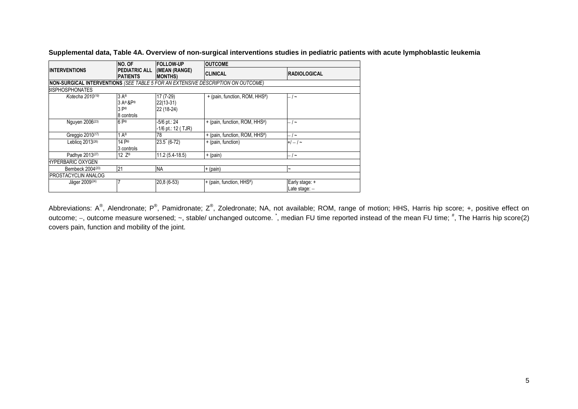|                                                                                          | <b>NO. OF</b>                                                                             | <b>FOLLOW-UP</b>                       | <b>OUTCOME</b>                |                                 |  |
|------------------------------------------------------------------------------------------|-------------------------------------------------------------------------------------------|----------------------------------------|-------------------------------|---------------------------------|--|
| <b>INTERVENTIONS</b>                                                                     | <b>PEDIATRIC ALL</b><br><b>PATIENTS</b>                                                   | (MEAN (RANGE)<br><b>MONTHS</b>         | <b>CLINICAL</b>               | <b>RADIOLOGICAL</b>             |  |
| <b>INON-SURGICAL INTERVENTIONS (SEE TABLE 5 FOR AN EXTENSIVE DESCRIPTION ON OUTCOME)</b> |                                                                                           |                                        |                               |                                 |  |
| BISPHOSPHONATES                                                                          |                                                                                           |                                        |                               |                                 |  |
| Kotecha 2010 <sup>(19)</sup>                                                             | $3A^{\circ}$<br>$3A$ <sup>®</sup> & $P$ <sup>®</sup><br>$3P^{\circledcirc}$<br>8 controls | 17 (7-29)<br>$22(13-31)$<br>22 (18-24) | + (pain, function, ROM, HHS#) | $-1$ $\sim$                     |  |
| Nguyen 2006 <sup>(23)</sup>                                                              | $6P^{\circledR}$                                                                          | -5/6 pt.: 24<br>-1/6 pt.: 12 ( TJR)    | + (pain, function, ROM, HHS#) | - / ~                           |  |
| Greggio 2010(17)                                                                         | 1 $A^{\circledR}$                                                                         | 78                                     | + (pain, function, ROM, HHS#) | - / ~                           |  |
| Leblicg 2013 <sup>(26)</sup>                                                             | 14 P®<br>3 controls                                                                       | $23.5$ (6-72)                          | + (pain, function)            | $+/-/-$                         |  |
| Padhye 2013(27)                                                                          | 12 $Z^{\otimes}$                                                                          | $11.2(5.4-18.5)$                       | + (pain)                      | $-1$ ~                          |  |
| HYPERBARIC OXYGEN                                                                        |                                                                                           |                                        |                               |                                 |  |
| Bernbeck 2004(20)                                                                        | 21                                                                                        | <b>NA</b>                              | + (pain)                      |                                 |  |
| PROSTACYCLIN ANALOG                                                                      |                                                                                           |                                        |                               |                                 |  |
| Jäger 2009 <sup>(24)</sup>                                                               | 7                                                                                         | 20,8 (6-53)                            | + (pain, function, HHS#)      | Early stage: +<br>Late stage: - |  |

**Supplemental data, Table 4A. Overview of non-surgical interventions studies in pediatric patients with acute lymphoblastic leukemia**

Abbreviations: A®, Alendronate; P®, Pamidronate; Z®, Zoledronate; NA, not available; ROM, range of motion; HHS, Harris hip score; +, positive effect on outcome; –, outcome measure worsened; ~, stable/ unchanged outcome. ໋, median FU time reported instead of the mean FU time; <sup>#</sup>, The Harris hip score(2) covers pain, function and mobility of the joint.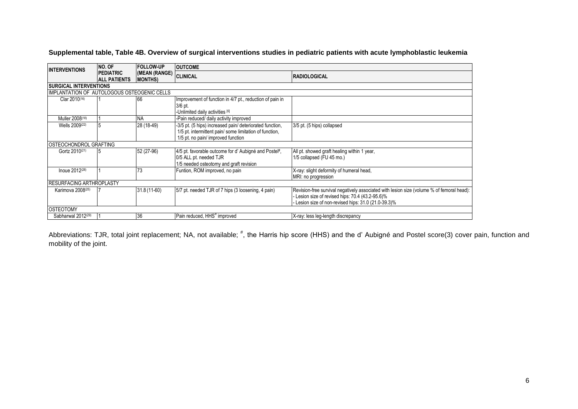| <b>INTERVENTIONS</b>                         | <b>NO. OF</b>                           | <b>FOLLOW-UP</b>                 | <b>OUTCOME</b>                                                                                                                                            |                                                                                                                                                                                                   |  |
|----------------------------------------------|-----------------------------------------|----------------------------------|-----------------------------------------------------------------------------------------------------------------------------------------------------------|---------------------------------------------------------------------------------------------------------------------------------------------------------------------------------------------------|--|
|                                              | <b>PEDIATRIC</b><br><b>ALL PATIENTS</b> | (MEAN (RANGE)<br><b>MONTHS</b> ) | <b>CLINICAL</b>                                                                                                                                           | <b>RADIOLOGICAL</b>                                                                                                                                                                               |  |
| <b>ISURGICAL INTERVENTIONS</b>               |                                         |                                  |                                                                                                                                                           |                                                                                                                                                                                                   |  |
| IIMPLANTATION OF AUTOLOGOUS OSTEOGENIC CELLS |                                         |                                  |                                                                                                                                                           |                                                                                                                                                                                                   |  |
| Clar 2010(16)                                |                                         | 166                              | Improvement of function in 4/7 pt., reduction of pain in<br>$3/6$ pt.<br>-Unlimited daily activities [6]                                                  |                                                                                                                                                                                                   |  |
| Muller 2008(18)                              |                                         | <b>NA</b>                        | -Pain reduced/ daily activity improved                                                                                                                    |                                                                                                                                                                                                   |  |
| Wells 2009(22)                               |                                         | 28 (18-49)                       | -3/5 pt. (5 hips) increased pain/ deteriorated function,<br>1/5 pt. intermittent pain/ some limitation of function,<br>1/5 pt. no pain/ improved function | 3/5 pt. (5 hips) collapsed                                                                                                                                                                        |  |
| <b>OSTEOCHONDROL GRAFTING</b>                |                                         |                                  |                                                                                                                                                           |                                                                                                                                                                                                   |  |
| Gortz 2010 <sup>(21)</sup>                   | 5                                       | 52 (27-96)                       | 4/5 pt. favorable outcome for d'Aubigné and Postel#,<br>0/5 ALL pt. needed TJR<br>1/5 needed osteotomy and graft revision                                 | All pt. showed graft healing within 1 year,<br>1/5 collapsed (FU 45 mo.)                                                                                                                          |  |
| Inoue $2012^{(28)}$                          |                                         | 73                               | Funtion, ROM improved, no pain                                                                                                                            | X-ray: slight deformity of humeral head,<br>MRI: no progression                                                                                                                                   |  |
| <b>IRESURFACING ARTHROPLASTY</b>             |                                         |                                  |                                                                                                                                                           |                                                                                                                                                                                                   |  |
| Karimova 2008 <sup>(25)</sup>                |                                         | 31.8 (11-60)                     | 5/7 pt. needed TJR of 7 hips (3 loosening, 4 pain)                                                                                                        | Revision-free survival negatively associated with lesion size (volume % of femoral head):<br>Lesion size of revised hips: 70.4 (43.2-95.6)%<br>Lesion size of non-revised hips: 31.0 (21.0-39.3)% |  |
| <b>OSTEOTOMY</b>                             |                                         |                                  |                                                                                                                                                           |                                                                                                                                                                                                   |  |
| Sabharwal 2012(29)                           |                                         | 36                               | Pain reduced, HHS <sup>#</sup> improved                                                                                                                   | X-ray: less leg-length discrepancy                                                                                                                                                                |  |

**Supplemental table, Table 4B. Overview of surgical interventions studies in pediatric patients with acute lymphoblastic leukemia**

Abbreviations: TJR, total joint replacement; NA, not available; <sup>#</sup>, the Harris hip score (HHS) and the d' Aubigné and Postel score(3) cover pain, function and mobility of the joint.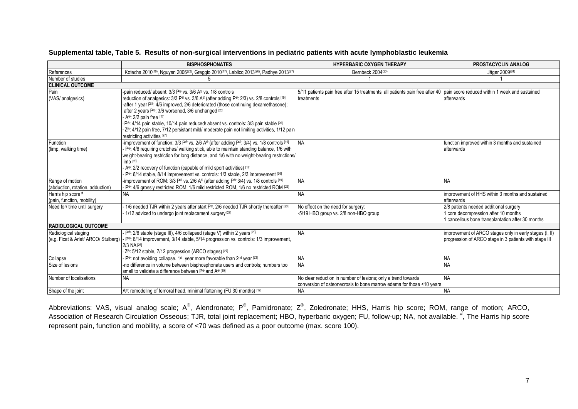|                                                              | <b>BISPHOSPHONATES</b>                                                                                                                                                                                                                                                                                                                                                                                                                                                                                                                                                  | <b>HYPERBARIC OXYGEN THERAPY</b>                                                                                                           | PROSTACYCLIN ANALOG                                                                                                                 |
|--------------------------------------------------------------|-------------------------------------------------------------------------------------------------------------------------------------------------------------------------------------------------------------------------------------------------------------------------------------------------------------------------------------------------------------------------------------------------------------------------------------------------------------------------------------------------------------------------------------------------------------------------|--------------------------------------------------------------------------------------------------------------------------------------------|-------------------------------------------------------------------------------------------------------------------------------------|
| References                                                   | Kotecha 2010 <sup>(19)</sup> , Nguyen 2006 <sup>(23)</sup> , Greggio 2010 <sup>(17)</sup> , Leblicq 2013 <sup>(26)</sup> , Padhye 2013 <sup>(27)</sup>                                                                                                                                                                                                                                                                                                                                                                                                                  | Bernbeck 2004(20)                                                                                                                          | Jäger 2009(24)                                                                                                                      |
| Number of studies                                            |                                                                                                                                                                                                                                                                                                                                                                                                                                                                                                                                                                         |                                                                                                                                            |                                                                                                                                     |
| <b>CLINICAL OUTCOME</b>                                      |                                                                                                                                                                                                                                                                                                                                                                                                                                                                                                                                                                         |                                                                                                                                            |                                                                                                                                     |
| Pain<br>(VAS/ analgesics)                                    | pain reduced/ absent: 3/3 P® vs. 3/6 A® vs. 1/8 controls<br>reduction of analgesics: 3/3 P® vs. 3/6 A® (after adding P®: 2/3) vs. 2/8 controls [19]<br>-after 1 year P®: 4/6 improved, 2/6 deteriorated (those continuing dexamethasone);<br>after 2 years P®: 3/6 worsened, 3/6 unchanged [23]<br>A <sup>®</sup> : 2/2 pain free [17]<br>P®: 4/14 pain stable, 10/14 pain reduced/ absent vs. controls: 3/3 pain stable [26]<br>Z <sup>®</sup> : 4/12 pain free, 7/12 persistant mild/ moderate pain not limiting activities, 1/12 pain<br>restricting activities [27] | 5/11 patients pain free after 15 treatments, all patients pain free after 40  pain score reduced within 1 week and sustained<br>treatments | afterwards                                                                                                                          |
| Function<br>(limp, walking time)                             | -improvement of function: $3/3$ P® vs. 2/6 A® (after adding P®: $3/4$ ) vs. 1/8 controls [19]<br>P <sup>®</sup> : 4/6 requiring crutches/ walking stick, able to maintain standing balance, 1/6 with<br>weight-bearing restriction for long distance, and 1/6 with no weight-bearing restrictions/<br>$\lim p$ [23]<br>A®: 2/2 recovery of function (capable of mild sport activities) [17]<br>P <sup>®</sup> : 6/14 stable, 8/14 improvement vs. controls: 1/3 stable, 2/3 improvement [26]                                                                            | <b>NA</b>                                                                                                                                  | function improved within 3 months and sustained<br>afterwards                                                                       |
| Range of motion<br>(abduction, rotation, adduction)          | -improvement of ROM: 3/3 P® vs. 2/6 A® (after adding P® 3/4) vs. 1/8 controls [19]<br>P <sup>®</sup> : 4/6 grossly restricted ROM, 1/6 mild restricted ROM, 1/6 no restricted ROM [23]                                                                                                                                                                                                                                                                                                                                                                                  | <b>NA</b>                                                                                                                                  | <b>NA</b>                                                                                                                           |
| Harris hip score #<br>(pain, function, mobility)             | <b>NA</b>                                                                                                                                                                                                                                                                                                                                                                                                                                                                                                                                                               | NΑ                                                                                                                                         | improvement of HHS within 3 months and sustained<br>afterwards                                                                      |
| Need for/ time until surgery                                 | 1/6 needed TJR within 2 years after start P®, 2/6 needed TJR shortly thereafter [23]<br>1/12 adviced to undergo joint replacement surgery <sup>[27]</sup>                                                                                                                                                                                                                                                                                                                                                                                                               | No effect on the need for surgery:<br>-5/19 HBO group vs. 2/8 non-HBO group                                                                | 2/8 patients needed additional surgery<br>1 core decompression after 10 months<br>1 cancellous bone transplantation after 30 months |
| <b>RADIOLOGICAL OUTCOME</b>                                  |                                                                                                                                                                                                                                                                                                                                                                                                                                                                                                                                                                         |                                                                                                                                            |                                                                                                                                     |
| Radiological staging<br>(e.g. Ficat & Arlet/ ARCO/ Stulberg) | P®: 2/6 stable (stage III), 4/6 collapsed (stage V) within 2 years [23]<br>P <sup>®</sup> : 6/14 improvement, 3/14 stable, 5/14 progression vs. controls: 1/3 improvement,<br>2/3 NA [26]<br>Z <sup>®</sup> : 5/12 stable, 7/12 progression (ARCO stages) [27]                                                                                                                                                                                                                                                                                                          | NA.                                                                                                                                        | improvement of ARCO stages only in early stages (I, II)<br>progression of ARCO stage in 3 patients with stage III                   |
| Collapse                                                     | P <sup>®</sup> : not avoiding collapse. 1 <sup>st</sup> year more favorable than 2 <sup>nd</sup> year [23]                                                                                                                                                                                                                                                                                                                                                                                                                                                              | NΑ                                                                                                                                         | <b>NA</b>                                                                                                                           |
| Size of lesions                                              | -no difference in volume between bisphosphonate users and controls; numbers too<br>small to validate a difference between P® and A® [19]                                                                                                                                                                                                                                                                                                                                                                                                                                | NΑ                                                                                                                                         | <b>NA</b>                                                                                                                           |
| Number of localisations                                      | <b>NA</b>                                                                                                                                                                                                                                                                                                                                                                                                                                                                                                                                                               | No clear reduction in number of lesions; only a trend towards<br>conversion of osteonecrosis to bone marrow edema for those <10 years      | <b>NA</b>                                                                                                                           |
| Shape of the joint                                           | IA <sup>®</sup> : remodeling of femoral head, minimal flattening (FU 30 months) [17]                                                                                                                                                                                                                                                                                                                                                                                                                                                                                    | <b>NA</b>                                                                                                                                  | <b>NA</b>                                                                                                                           |

#### **Supplemental table, Table 5. Results of non-surgical interventions in pediatric patients with acute lymphoblastic leukemia**

Abbreviations: VAS, visual analog scale; A®, Alendronate; P®, Pamidronate; Z®, Zoledronate; HHS, Harris hip score; ROM, range of motion; ARCO, Association of Research Circulation Osseous; TJR, total joint replacement; HBO, hyperbaric oxygen; FU, follow-up; NA, not available. <sup>#</sup>, The Harris hip score represent pain, function and mobility, a score of <70 was defined as a poor outcome (max. score 100).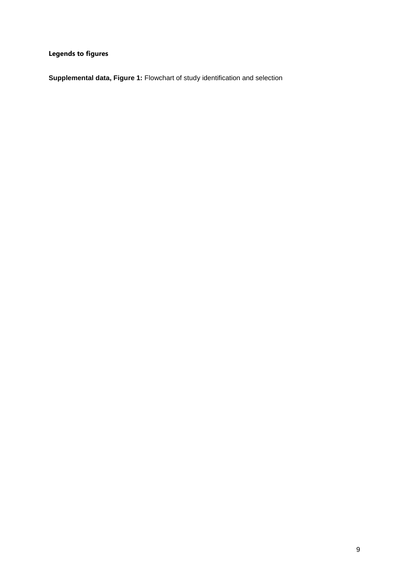**Legends to figures**

**Supplemental data, Figure 1:** Flowchart of study identification and selection